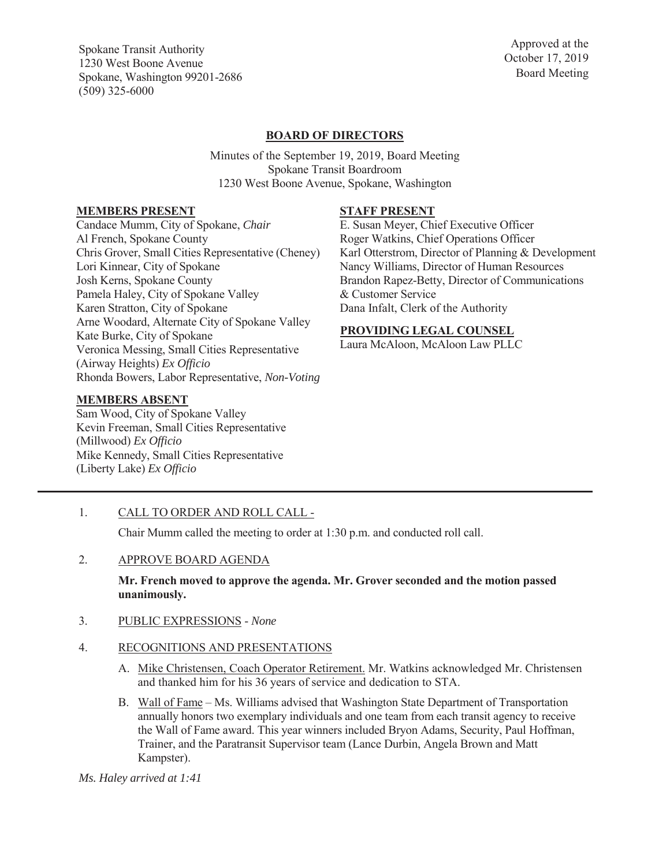Spokane Transit Authority 1230 West Boone Avenue Spokane, Washington 99201-2686 (509) 325-6000

Approved at the October 17, 2019 Board Meeting

# **BOARD OF DIRECTORS**

Minutes of the September 19, 2019, Board Meeting Spokane Transit Boardroom 1230 West Boone Avenue, Spokane, Washington

#### **MEMBERS PRESENT**

Candace Mumm, City of Spokane, *Chair*  Al French, Spokane County Chris Grover, Small Cities Representative (Cheney) Lori Kinnear, City of Spokane Josh Kerns, Spokane County Pamela Haley, City of Spokane Valley Karen Stratton, City of Spokane Arne Woodard, Alternate City of Spokane Valley Kate Burke, City of Spokane Veronica Messing, Small Cities Representative (Airway Heights) *Ex Officio* Rhonda Bowers, Labor Representative, *Non-Voting* 

#### **MEMBERS ABSENT**

Sam Wood, City of Spokane Valley Kevin Freeman, Small Cities Representative (Millwood) *Ex Officio*  Mike Kennedy, Small Cities Representative (Liberty Lake) *Ex Officio* 

# **STAFF PRESENT**

E. Susan Meyer, Chief Executive Officer Roger Watkins, Chief Operations Officer Karl Otterstrom, Director of Planning & Development Nancy Williams, Director of Human Resources Brandon Rapez-Betty, Director of Communications & Customer Service Dana Infalt, Clerk of the Authority

## **PROVIDING LEGAL COUNSEL**

Laura McAloon, McAloon Law PLLC

1. CALL TO ORDER AND ROLL CALL -

Chair Mumm called the meeting to order at 1:30 p.m. and conducted roll call.

2. APPROVE BOARD AGENDA

#### **Mr. French moved to approve the agenda. Mr. Grover seconded and the motion passed unanimously.**

- 3. PUBLIC EXPRESSIONS - *None*
- 4. RECOGNITIONS AND PRESENTATIONS
	- A. Mike Christensen, Coach Operator Retirement. Mr. Watkins acknowledged Mr. Christensen and thanked him for his 36 years of service and dedication to STA.
	- B. Wall of Fame Ms. Williams advised that Washington State Department of Transportation annually honors two exemplary individuals and one team from each transit agency to receive the Wall of Fame award. This year winners included Bryon Adams, Security, Paul Hoffman, Trainer, and the Paratransit Supervisor team (Lance Durbin, Angela Brown and Matt Kampster).

*Ms. Haley arrived at 1:41*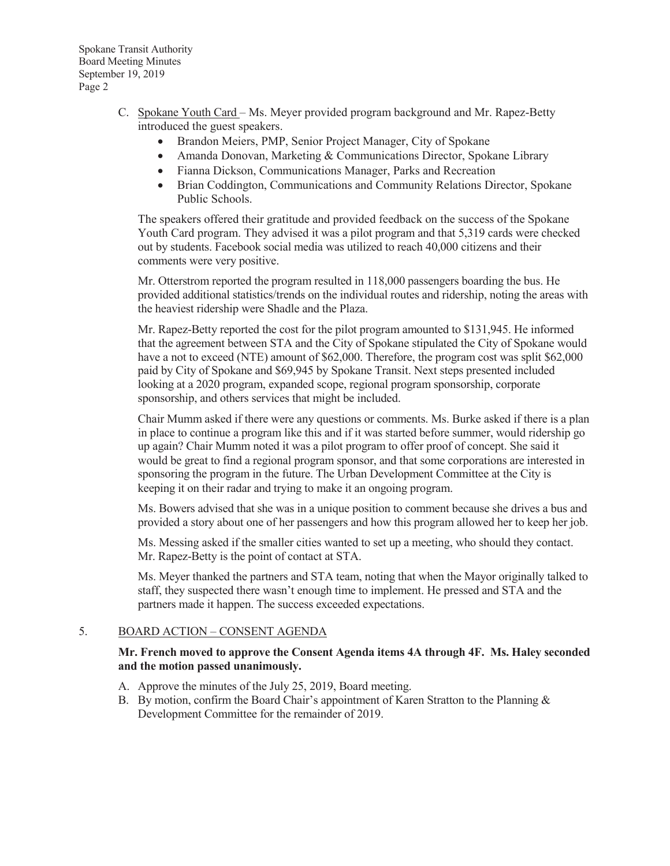- C. Spokane Youth Card Ms. Meyer provided program background and Mr. Rapez-Betty introduced the guest speakers.
	- Brandon Meiers, PMP, Senior Project Manager, City of Spokane
	- Amanda Donovan, Marketing & Communications Director, Spokane Library
	- Fianna Dickson, Communications Manager, Parks and Recreation
	- Brian Coddington, Communications and Community Relations Director, Spokane Public Schools.

The speakers offered their gratitude and provided feedback on the success of the Spokane Youth Card program. They advised it was a pilot program and that 5,319 cards were checked out by students. Facebook social media was utilized to reach 40,000 citizens and their comments were very positive.

Mr. Otterstrom reported the program resulted in 118,000 passengers boarding the bus. He provided additional statistics/trends on the individual routes and ridership, noting the areas with the heaviest ridership were Shadle and the Plaza.

Mr. Rapez-Betty reported the cost for the pilot program amounted to \$131,945. He informed that the agreement between STA and the City of Spokane stipulated the City of Spokane would have a not to exceed (NTE) amount of \$62,000. Therefore, the program cost was split \$62,000 paid by City of Spokane and \$69,945 by Spokane Transit. Next steps presented included looking at a 2020 program, expanded scope, regional program sponsorship, corporate sponsorship, and others services that might be included.

Chair Mumm asked if there were any questions or comments. Ms. Burke asked if there is a plan in place to continue a program like this and if it was started before summer, would ridership go up again? Chair Mumm noted it was a pilot program to offer proof of concept. She said it would be great to find a regional program sponsor, and that some corporations are interested in sponsoring the program in the future. The Urban Development Committee at the City is keeping it on their radar and trying to make it an ongoing program.

Ms. Bowers advised that she was in a unique position to comment because she drives a bus and provided a story about one of her passengers and how this program allowed her to keep her job.

Ms. Messing asked if the smaller cities wanted to set up a meeting, who should they contact. Mr. Rapez-Betty is the point of contact at STA.

Ms. Meyer thanked the partners and STA team, noting that when the Mayor originally talked to staff, they suspected there wasn't enough time to implement. He pressed and STA and the partners made it happen. The success exceeded expectations.

## 5. BOARD ACTION – CONSENT AGENDA

# **Mr. French moved to approve the Consent Agenda items 4A through 4F. Ms. Haley seconded and the motion passed unanimously.**

- A. Approve the minutes of the July 25, 2019, Board meeting.
- B. By motion, confirm the Board Chair's appointment of Karen Stratton to the Planning & Development Committee for the remainder of 2019.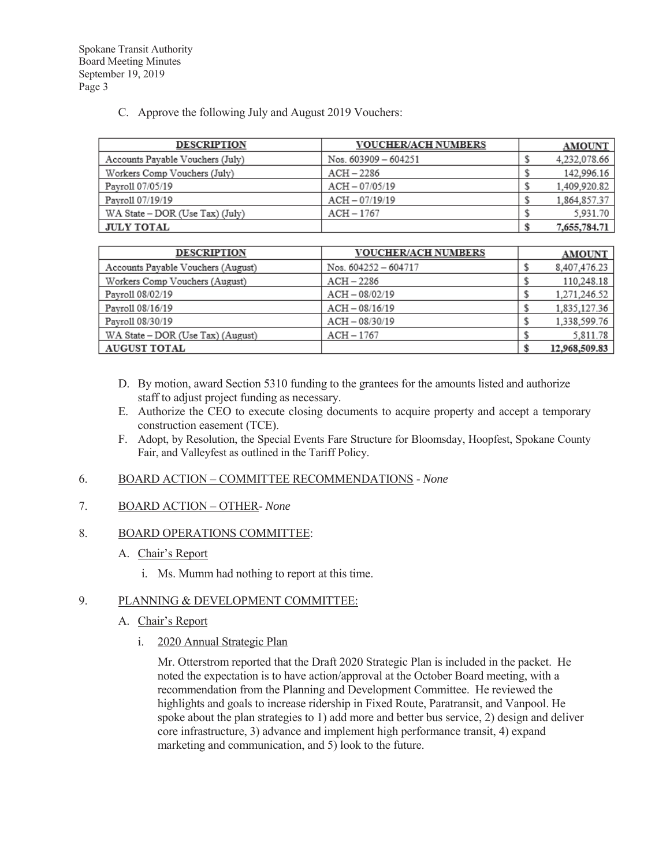C. Approve the following July and August 2019 Vouchers:

| <b>DESCRIPTION</b>               | <b>VOUCHER/ACH NUMBERS</b> | <b>AMOUNT</b> |
|----------------------------------|----------------------------|---------------|
| Accounts Payable Vouchers (July) | Nos. $603909 - 604251$     | 4,232,078.66  |
| Workers Comp Vouchers (July)     | $ACH - 2286$               | 142,996.16    |
| Pavroll 07/05/19                 | $ACH - 07/05/19$           | 1.409.920.82  |
| Pavroll 07/19/19                 | $ACH - 07/19/19$           | 1,864,857.37  |
| WA State – DOR (Use Tax) (July)  | ACH - 1767                 | 5.931.70      |
| <b>JULY TOTAL</b>                |                            | 7,655,784.71  |

| <b>DESCRIPTION</b>                 | <b>VOUCHER/ACH NUMBERS</b> | <b>AMOUNT</b> |
|------------------------------------|----------------------------|---------------|
| Accounts Payable Vouchers (August) | Nos. 604252 - 604717       | 8,407,476.23  |
| Workers Comp Vouchers (August)     | $ACH - 2286$               | 110,248.18    |
| Payroll 08/02/19                   | $ACH - 08/02/19$           | 1,271,246.52  |
| Payroll 08/16/19                   | $ACH - 08/16/19$           | 1,835,127.36  |
| Pavroll 08/30/19                   | $ACH - 08/30/19$           | 1,338,599.76  |
| WA State - DOR (Use Tax) (August)  | $ACH - 1767$               | 5,811.78      |
| <b>AUGUST TOTAL</b>                |                            | 12,968,509.83 |

- D. By motion, award Section 5310 funding to the grantees for the amounts listed and authorize staff to adjust project funding as necessary.
- E. Authorize the CEO to execute closing documents to acquire property and accept a temporary construction easement (TCE).
- F. Adopt, by Resolution, the Special Events Fare Structure for Bloomsday, Hoopfest, Spokane County Fair, and Valleyfest as outlined in the Tariff Policy.
- 6. BOARD ACTION COMMITTEE RECOMMENDATIONS *None*

# 7. BOARD ACTION – OTHER- *None*

## 8. BOARD OPERATIONS COMMITTEE:

- A. Chair's Report
	- i. Ms. Mumm had nothing to report at this time.

## 9. PLANNING & DEVELOPMENT COMMITTEE:

- A. Chair's Report
	- i. 2020 Annual Strategic Plan

Mr. Otterstrom reported that the Draft 2020 Strategic Plan is included in the packet. He noted the expectation is to have action/approval at the October Board meeting, with a recommendation from the Planning and Development Committee. He reviewed the highlights and goals to increase ridership in Fixed Route, Paratransit, and Vanpool. He spoke about the plan strategies to 1) add more and better bus service, 2) design and deliver core infrastructure, 3) advance and implement high performance transit, 4) expand marketing and communication, and 5) look to the future.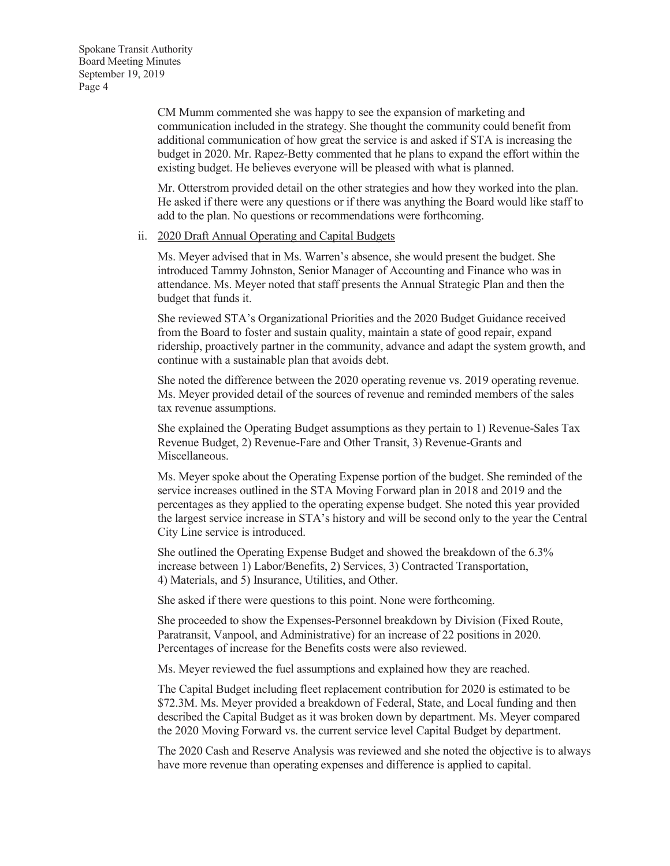CM Mumm commented she was happy to see the expansion of marketing and communication included in the strategy. She thought the community could benefit from additional communication of how great the service is and asked if STA is increasing the budget in 2020. Mr. Rapez-Betty commented that he plans to expand the effort within the existing budget. He believes everyone will be pleased with what is planned.

Mr. Otterstrom provided detail on the other strategies and how they worked into the plan. He asked if there were any questions or if there was anything the Board would like staff to add to the plan. No questions or recommendations were forthcoming.

#### ii. 2020 Draft Annual Operating and Capital Budgets

Ms. Meyer advised that in Ms. Warren's absence, she would present the budget. She introduced Tammy Johnston, Senior Manager of Accounting and Finance who was in attendance. Ms. Meyer noted that staff presents the Annual Strategic Plan and then the budget that funds it.

She reviewed STA's Organizational Priorities and the 2020 Budget Guidance received from the Board to foster and sustain quality, maintain a state of good repair, expand ridership, proactively partner in the community, advance and adapt the system growth, and continue with a sustainable plan that avoids debt.

She noted the difference between the 2020 operating revenue vs. 2019 operating revenue. Ms. Meyer provided detail of the sources of revenue and reminded members of the sales tax revenue assumptions.

She explained the Operating Budget assumptions as they pertain to 1) Revenue-Sales Tax Revenue Budget, 2) Revenue-Fare and Other Transit, 3) Revenue-Grants and Miscellaneous.

Ms. Meyer spoke about the Operating Expense portion of the budget. She reminded of the service increases outlined in the STA Moving Forward plan in 2018 and 2019 and the percentages as they applied to the operating expense budget. She noted this year provided the largest service increase in STA's history and will be second only to the year the Central City Line service is introduced.

She outlined the Operating Expense Budget and showed the breakdown of the 6.3% increase between 1) Labor/Benefits, 2) Services, 3) Contracted Transportation, 4) Materials, and 5) Insurance, Utilities, and Other.

She asked if there were questions to this point. None were forthcoming.

She proceeded to show the Expenses-Personnel breakdown by Division (Fixed Route, Paratransit, Vanpool, and Administrative) for an increase of 22 positions in 2020. Percentages of increase for the Benefits costs were also reviewed.

Ms. Meyer reviewed the fuel assumptions and explained how they are reached.

The Capital Budget including fleet replacement contribution for 2020 is estimated to be \$72.3M. Ms. Meyer provided a breakdown of Federal, State, and Local funding and then described the Capital Budget as it was broken down by department. Ms. Meyer compared the 2020 Moving Forward vs. the current service level Capital Budget by department.

The 2020 Cash and Reserve Analysis was reviewed and she noted the objective is to always have more revenue than operating expenses and difference is applied to capital.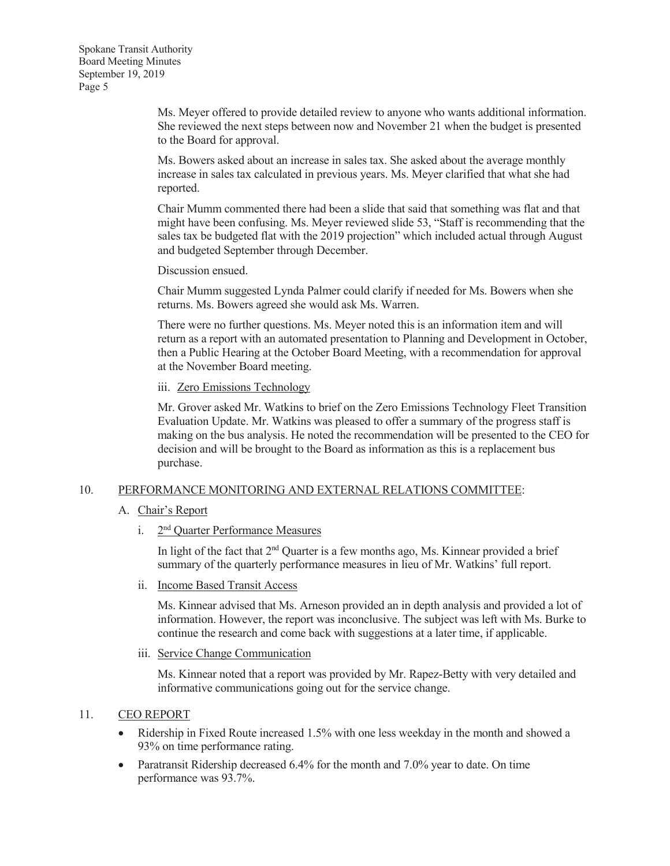Ms. Meyer offered to provide detailed review to anyone who wants additional information. She reviewed the next steps between now and November 21 when the budget is presented to the Board for approval.

Ms. Bowers asked about an increase in sales tax. She asked about the average monthly increase in sales tax calculated in previous years. Ms. Meyer clarified that what she had reported.

Chair Mumm commented there had been a slide that said that something was flat and that might have been confusing. Ms. Meyer reviewed slide 53, "Staff is recommending that the sales tax be budgeted flat with the 2019 projection" which included actual through August and budgeted September through December.

Discussion ensued.

Chair Mumm suggested Lynda Palmer could clarify if needed for Ms. Bowers when she returns. Ms. Bowers agreed she would ask Ms. Warren.

There were no further questions. Ms. Meyer noted this is an information item and will return as a report with an automated presentation to Planning and Development in October, then a Public Hearing at the October Board Meeting, with a recommendation for approval at the November Board meeting.

iii. Zero Emissions Technology

Mr. Grover asked Mr. Watkins to brief on the Zero Emissions Technology Fleet Transition Evaluation Update. Mr. Watkins was pleased to offer a summary of the progress staff is making on the bus analysis. He noted the recommendation will be presented to the CEO for decision and will be brought to the Board as information as this is a replacement bus purchase.

## 10. PERFORMANCE MONITORING AND EXTERNAL RELATIONS COMMITTEE:

- A. Chair's Report
	- i. 2nd Quarter Performance Measures

In light of the fact that 2<sup>nd</sup> Quarter is a few months ago, Ms. Kinnear provided a brief summary of the quarterly performance measures in lieu of Mr. Watkins' full report.

ii. Income Based Transit Access

Ms. Kinnear advised that Ms. Arneson provided an in depth analysis and provided a lot of information. However, the report was inconclusive. The subject was left with Ms. Burke to continue the research and come back with suggestions at a later time, if applicable.

iii. Service Change Communication

Ms. Kinnear noted that a report was provided by Mr. Rapez-Betty with very detailed and informative communications going out for the service change.

## 11. CEO REPORT

- Ridership in Fixed Route increased 1.5% with one less weekday in the month and showed a 93% on time performance rating.
- Paratransit Ridership decreased  $6.4\%$  for the month and 7.0% year to date. On time performance was 93.7%.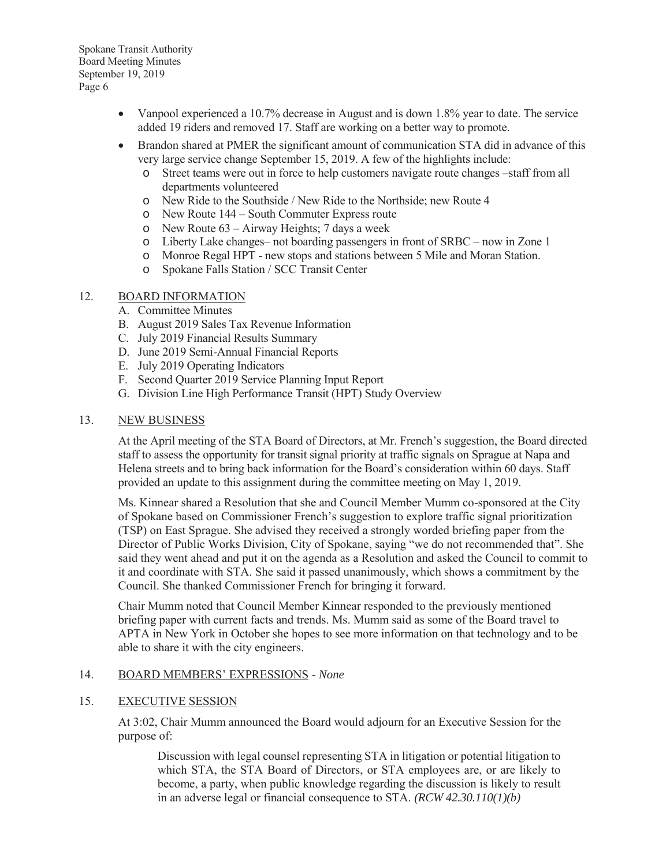- Vanpool experienced a 10.7% decrease in August and is down 1.8% year to date. The service added 19 riders and removed 17. Staff are working on a better way to promote.
- Brandon shared at PMER the significant amount of communication STA did in advance of this very large service change September 15, 2019. A few of the highlights include:
	- o Street teams were out in force to help customers navigate route changes –staff from all departments volunteered
	- o New Ride to the Southside / New Ride to the Northside; new Route 4
	- o New Route 144 South Commuter Express route
	- o New Route 63 Airway Heights; 7 days a week
	- o Liberty Lake changes– not boarding passengers in front of SRBC now in Zone 1
	- o Monroe Regal HPT new stops and stations between 5 Mile and Moran Station.
	- o Spokane Falls Station / SCC Transit Center

# 12. BOARD INFORMATION

- A. Committee Minutes
- B. August 2019 Sales Tax Revenue Information
- C. July 2019 Financial Results Summary
- D. June 2019 Semi-Annual Financial Reports
- E. July 2019 Operating Indicators
- F. Second Quarter 2019 Service Planning Input Report
- G. Division Line High Performance Transit (HPT) Study Overview

## 13. NEW BUSINESS

At the April meeting of the STA Board of Directors, at Mr. French's suggestion, the Board directed staff to assess the opportunity for transit signal priority at traffic signals on Sprague at Napa and Helena streets and to bring back information for the Board's consideration within 60 days. Staff provided an update to this assignment during the committee meeting on May 1, 2019.

Ms. Kinnear shared a Resolution that she and Council Member Mumm co-sponsored at the City of Spokane based on Commissioner French's suggestion to explore traffic signal prioritization (TSP) on East Sprague. She advised they received a strongly worded briefing paper from the Director of Public Works Division, City of Spokane, saying "we do not recommended that". She said they went ahead and put it on the agenda as a Resolution and asked the Council to commit to it and coordinate with STA. She said it passed unanimously, which shows a commitment by the Council. She thanked Commissioner French for bringing it forward.

Chair Mumm noted that Council Member Kinnear responded to the previously mentioned briefing paper with current facts and trends. Ms. Mumm said as some of the Board travel to APTA in New York in October she hopes to see more information on that technology and to be able to share it with the city engineers.

## 14. BOARD MEMBERS' EXPRESSIONS - *None*

## 15. EXECUTIVE SESSION

At 3:02, Chair Mumm announced the Board would adjourn for an Executive Session for the purpose of:

Discussion with legal counsel representing STA in litigation or potential litigation to which STA, the STA Board of Directors, or STA employees are, or are likely to become, a party, when public knowledge regarding the discussion is likely to result in an adverse legal or financial consequence to STA. *(RCW 42.30.110(1)(b)*